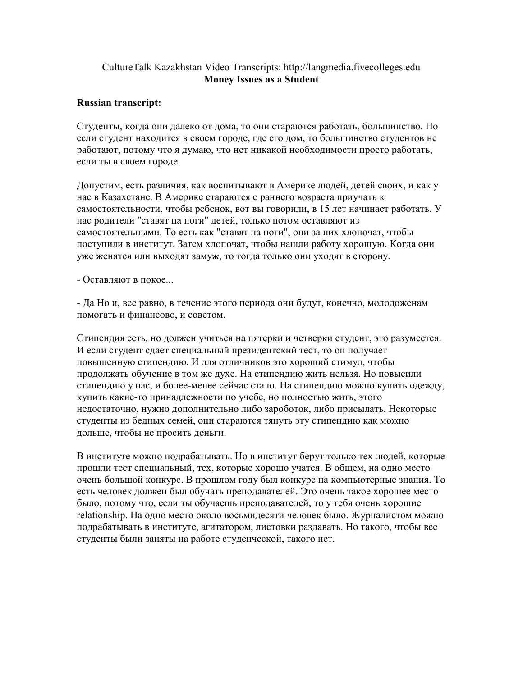## CultureTalk Kazakhstan Video Transcripts: http://langmedia.fivecolleges.edu Money Issues as a Student

## Russian transcript:

Студенты, когда они далеко от дома, то они стараются работать, большинство. Но если студент находится в своем городе, где его дом, то большинство студентов не работают, потому что я думаю, что нет никакой необходимости просто работать, если ты в своем городе.

Допустим, есть различия, как воспитывают в Америке людей, детей своих, и как у нас в Казахстане. В Америке стараются с раннего возраста приучать к самостоятельности, чтобы ребенок, вот вы говорили, в 15 лет начинает работать. У нас родители "ставят на ноги" детей, только потом оставляют из самостоятельными. То есть как "ставят на ноги", они за них хлопочат, чтобы поступили в институт. Затем хлопочат, чтобы нашли работу хорошую. Когда они уже женятся или выходят замуж, то тогда только они уходят в сторону.

- Оставляют в покое...

- Да Но и, все равно, в течение этого периода они будут, конечно, молодоженам помогать и финансово, и советом.

Стипендия есть, но должен учиться на пятерки и четверки студент, это разумеется. И если студент сдает специальный президентский тест, то он получает повышенную стипендию. И для отличников это хороший стимул, чтобы продолжать обучение в том же духе. На стипендию жить нельзя. Но повысили стипендию у нас, и более-менее сейчас стало. На стипендию можно купить одежду, купить какие-то принадлежности по учебе, но полностью жить, этого недостаточно, нужно дополнительно либо зароботок, либо присылать. Некоторые студенты из бедных семей, они стараются тянуть эту стипендию как можно дольше, чтобы не просить деньги.

В институте можно подрабатывать. Но в институт берут только тех людей, которые прошли тест специальный, тех, которые хорошо учатся. В общем, на одно место очень большой конкурс. В прошлом году был конкурс на компьютерные знания. То есть человек должен был обучать преподавателей. Это очень такое хорошее место было, потому что, если ты обучаешь преподавателей, то у тебя очень хорошие relationship. На одно место около восьмидесяти человек было. Журналистом можно подрабатывать в институте, агитатором, листовки раздавать. Но такого, чтобы все студенты были заняты на работе студенческой, такого нет.